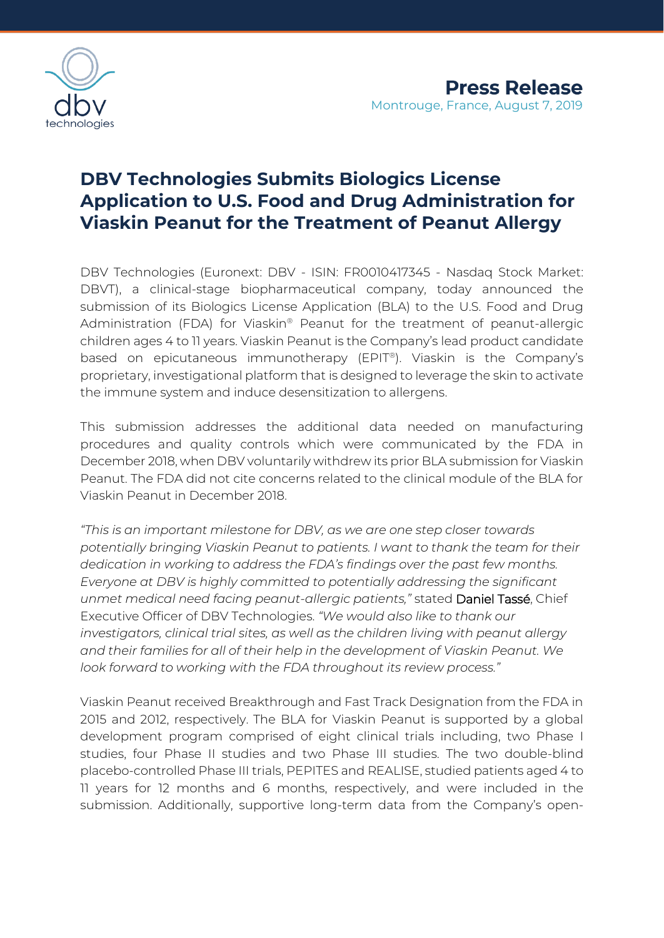

# **DBV Technologies Submits Biologics License Application to U.S. Food and Drug Administration for Viaskin Peanut for the Treatment of Peanut Allergy**

DBV Technologies (Euronext: DBV - ISIN: FR0010417345 - Nasdaq Stock Market: DBVT), a clinical-stage biopharmaceutical company, today announced the submission of its Biologics License Application (BLA) to the U.S. Food and Drug Administration (FDA) for Viaskin® Peanut for the treatment of peanut-allergic children ages 4 to 11 years. Viaskin Peanut is the Company's lead product candidate based on epicutaneous immunotherapy (EPIT®). Viaskin is the Company's proprietary, investigational platform that is designed to leverage the skin to activate the immune system and induce desensitization to allergens.

This submission addresses the additional data needed on manufacturing procedures and quality controls which were communicated by the FDA in December 2018, when DBV voluntarily withdrew its prior BLA submission for Viaskin Peanut. The FDA did not cite concerns related to the clinical module of the BLA for Viaskin Peanut in December 2018.

*"This is an important milestone for DBV, as we are one step closer towards potentially bringing Viaskin Peanut to patients. I want to thank the team for their dedication in working to address the FDA's findings over the past few months. Everyone at DBV is highly committed to potentially addressing the significant unmet medical need facing peanut-allergic patients,"* stated Daniel Tassé, Chief Executive Officer of DBV Technologies. *"We would also like to thank our investigators, clinical trial sites, as well as the children living with peanut allergy and their families for all of their help in the development of Viaskin Peanut. We look forward to working with the FDA throughout its review process."*

Viaskin Peanut received Breakthrough and Fast Track Designation from the FDA in 2015 and 2012, respectively. The BLA for Viaskin Peanut is supported by a global development program comprised of eight clinical trials including, two Phase I studies, four Phase II studies and two Phase III studies. The two double-blind placebo-controlled Phase III trials, PEPITES and REALISE, studied patients aged 4 to 11 years for 12 months and 6 months, respectively, and were included in the submission. Additionally, supportive long-term data from the Company's open-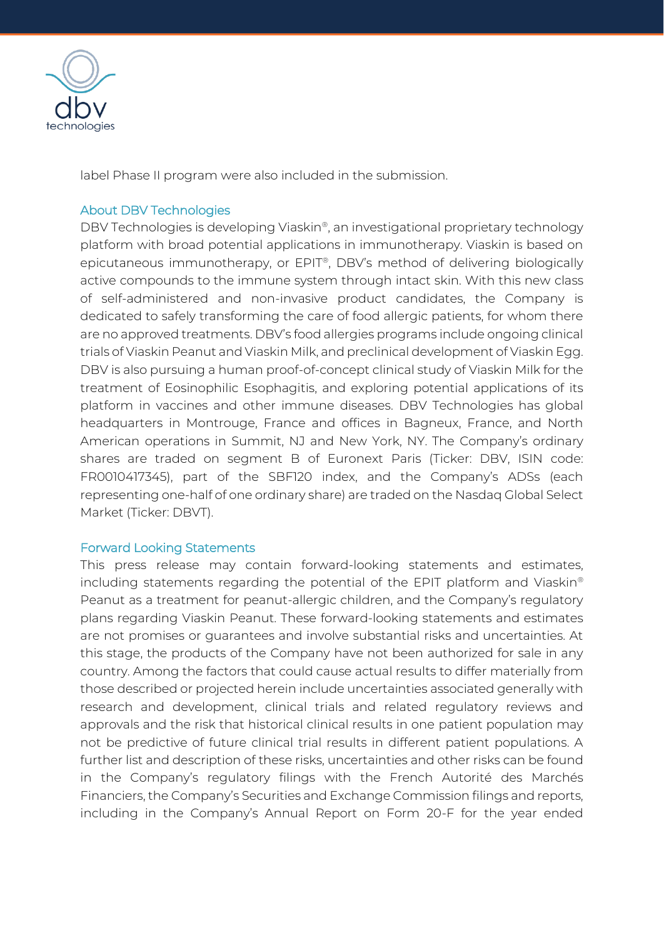

label Phase II program were also included in the submission.

### About DBV Technologies

DBV Technologies is developing Viaskin®, an investigational proprietary technology platform with broad potential applications in immunotherapy. Viaskin is based on epicutaneous immunotherapy, or EPIT®, DBV's method of delivering biologically active compounds to the immune system through intact skin. With this new class of self-administered and non-invasive product candidates, the Company is dedicated to safely transforming the care of food allergic patients, for whom there are no approved treatments. DBV's food allergies programs include ongoing clinical trials of Viaskin Peanut and Viaskin Milk, and preclinical development of Viaskin Egg. DBV is also pursuing a human proof-of-concept clinical study of Viaskin Milk for the treatment of Eosinophilic Esophagitis, and exploring potential applications of its platform in vaccines and other immune diseases. DBV Technologies has global headquarters in Montrouge, France and offices in Bagneux, France, and North American operations in Summit, NJ and New York, NY. The Company's ordinary shares are traded on segment B of Euronext Paris (Ticker: DBV, ISIN code: FR0010417345), part of the SBF120 index, and the Company's ADSs (each representing one-half of one ordinary share) are traded on the Nasdaq Global Select Market (Ticker: DBVT).

#### Forward Looking Statements

This press release may contain forward-looking statements and estimates, including statements regarding the potential of the EPIT platform and Viaskin® Peanut as a treatment for peanut-allergic children, and the Company's regulatory plans regarding Viaskin Peanut. These forward-looking statements and estimates are not promises or guarantees and involve substantial risks and uncertainties. At this stage, the products of the Company have not been authorized for sale in any country. Among the factors that could cause actual results to differ materially from those described or projected herein include uncertainties associated generally with research and development, clinical trials and related regulatory reviews and approvals and the risk that historical clinical results in one patient population may not be predictive of future clinical trial results in different patient populations. A further list and description of these risks, uncertainties and other risks can be found in the Company's regulatory filings with the French Autorité des Marchés Financiers, the Company's Securities and Exchange Commission filings and reports, including in the Company's Annual Report on Form 20-F for the year ended